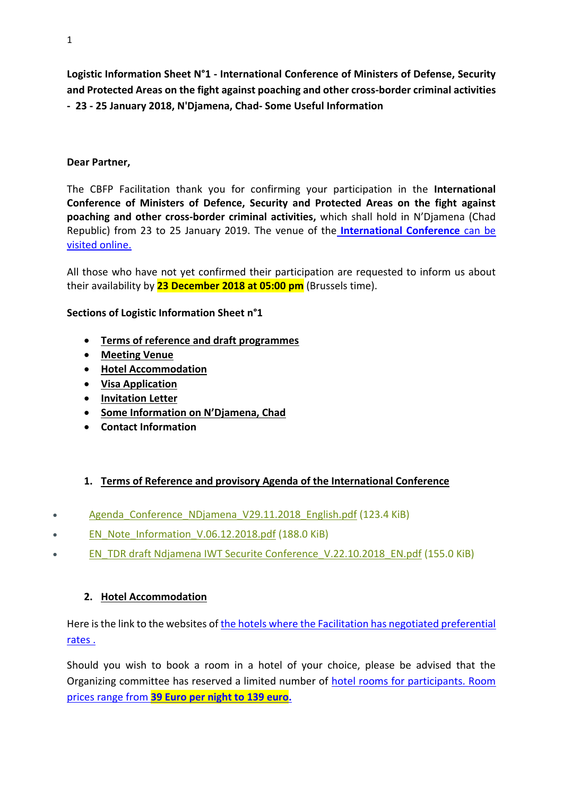**Logistic Information Sheet N°1 - International Conference of Ministers of Defense, Security and Protected Areas on the fight against poaching and other cross-border criminal activities - 23 - 25 January 2018, N'Djamena, Chad- Some Useful Information**

## **Dear Partner,**

The CBFP Facilitation thank you for confirming your participation in the **International Conference of Ministers of Defence, Security and Protected Areas on the fight against poaching and other cross-border criminal activities,** which shall hold in N'Djamena (Chad Republic) from 23 to 25 January 2019. The venue of the **[International Conference](http://www.hiltonhotels.com/fr_FR/tchad/hilton-ndjamena/)** can be [visited online.](http://www.hiltonhotels.com/fr_FR/tchad/hilton-ndjamena/)

All those who have not yet confirmed their participation are requested to inform us about their availability by **23 December 2018 at 05:00 pm** (Brussels time).

## **Sections of Logistic Information Sheet n°1**

- **Terms of reference and draft programmes**
- **Meeting Venue**
- **Hotel Accommodation**
- **Visa Application**
- **Invitation Letter**
- **Some Information on N'Djamena, Chad**
- **Contact Information**

# **1. Terms of Reference and provisory Agenda of the International Conference**

- Agenda Conference NDjamena V29.11.2018 English.pdf (123.4 KiB)
- [EN\\_Note\\_Information\\_V.06.12.2018.pdf](http://ccr-rac.pfbc-cbfp.org/rac-2016-news/items/rac-2016-news/items/cross-border.html?file=docs/Conference%20N%27Djamena%202019/Documents/EN_Note_Information_V.06.12.2018.pdf) (188.0 KiB)
- [EN\\_TDR draft Ndjamena IWT Securite Conference\\_V.22.10.2018\\_EN.pdf](http://ccr-rac.pfbc-cbfp.org/rac-2016-news/items/rac-2016-news/items/cross-border.html?file=docs/Conference%20N%27Djamena%202019/Documents/EN_TDR%20draft%20%20Ndjamena%20IWT%20Securite%20Conference_V.22.10.2018_EN.pdf) (155.0 KiB)

#### **2. Hotel Accommodation**

Here is the link to the websites of the hotels where the Facilitation has negotiated preferential [rates .](http://ccr-rac.pfbc-cbfp.org/rac-2016-news/items/Accommodation-chad.html)

Should you wish to book a room in a hotel of your choice, please be advised that the Organizing committee has reserved a limited number of [hotel rooms for participants. Room](http://ccr-rac.pfbc-cbfp.org/rac-2016-news/items/Accommodation-chad.html)  prices range from **[39 Euro per night to 139 euro.](http://ccr-rac.pfbc-cbfp.org/rac-2016-news/items/Accommodation-chad.html)**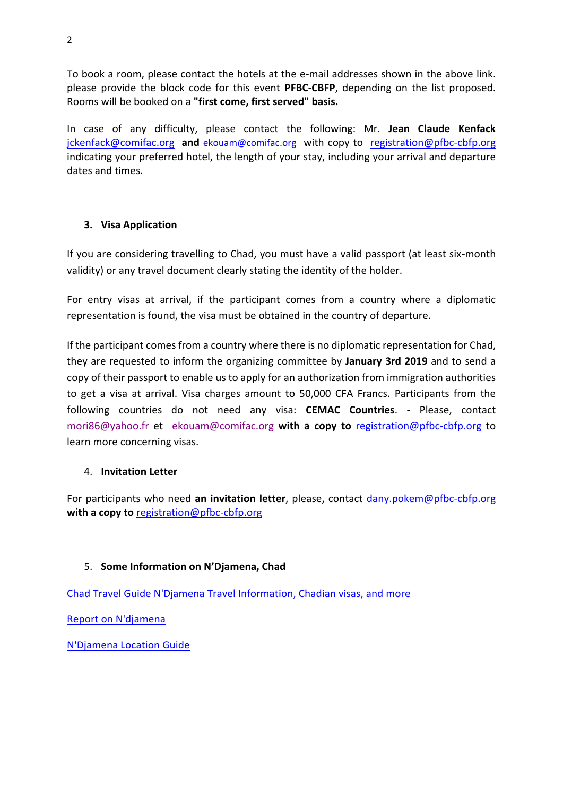To book a room, please contact the hotels at the e-mail addresses shown in the above link. please provide the block code for this event **PFBC-CBFP**, depending on the list proposed. Rooms will be booked on a **"first come, first served" basis.**

In case of any difficulty, please contact the following: Mr. **Jean Claude Kenfack** [jckenfack@comifac.org](mailto:jckenfack@comifac.org) **and** [ekouam@comifac.org](mailto:ekouam@comifac.org) with copy to [registration@pfbc-cbfp.org](mailto:registration@pfbc-cbfp.org) indicating your preferred hotel, the length of your stay, including your arrival and departure dates and times.

# **3. Visa Application**

If you are considering travelling to Chad, you must have a valid passport (at least six-month validity) or any travel document clearly stating the identity of the holder.

For entry visas at arrival, if the participant comes from a country where a diplomatic representation is found, the visa must be obtained in the country of departure.

If the participant comes from a country where there is no diplomatic representation for Chad, they are requested to inform the organizing committee by **January 3rd 2019** and to send a copy of their passport to enable us to apply for an authorization from immigration authorities to get a visa at arrival. Visa charges amount to 50,000 CFA Francs. Participants from the following countries do not need any visa: **CEMAC Countries**. - Please, contact [mori86@yahoo.fr](mailto:mori86@yahoo.fr) et [ekouam@comifac.org](mailto:ekouam@comifac.org) **with a copy to** [registration@pfbc-cbfp.org](mailto:registration@pfbc-cbfp.org) to learn more concerning visas.

# 4. **Invitation Letter**

For participants who need **an invitation letter**, please, contact [dany.pokem@pfbc-cbfp.org](mailto:dany.pokem@pfbc-cbfp.org) with a copy to **[registration@pfbc-cbfp.org](mailto:registration@pfbc-cbfp.org)** 

# 5. **Some Information on N'Djamena, Chad**

[Chad Travel Guide N'Djamena Travel Information, Chadian visas, and more](http://www.chadnow.com/chad_travel_guide_information/index.php)

[Report on N'djamena](http://www.youtube.com/watch?v=1ZxH5hFfVcw)

[N'Djamena Location Guide](http://www.weather-forecast.com/locations/N-Djamena)